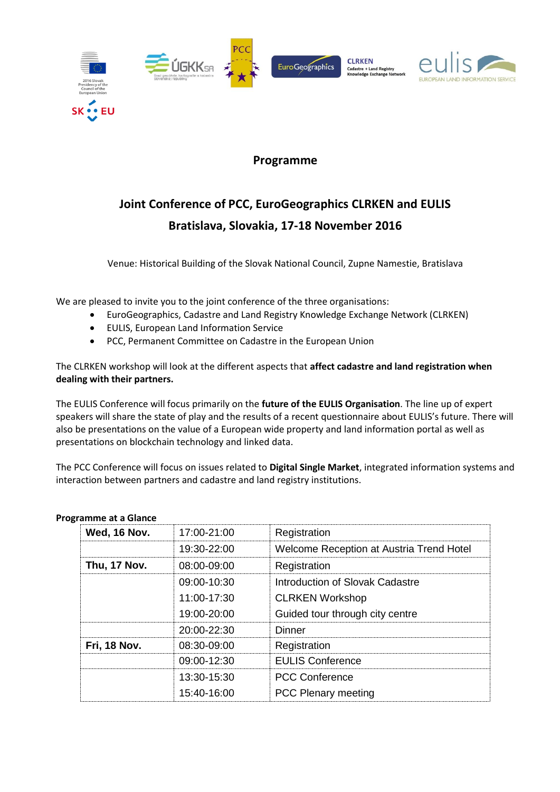

### **Programme**

### **Joint Conference of PCC, EuroGeographics CLRKEN and EULIS Bratislava, Slovakia, 17-18 November 2016**

Venue: Historical Building of the Slovak National Council, Zupne Namestie, Bratislava

We are pleased to invite you to the joint conference of the three organisations:

- EuroGeographics, Cadastre and Land Registry Knowledge Exchange Network (CLRKEN)
- EULIS, European Land Information Service
- PCC, Permanent Committee on Cadastre in the European Union

The CLRKEN workshop will look at the different aspects that **affect cadastre and land registration when dealing with their partners.**

The EULIS Conference will focus primarily on the **future of the EULIS Organisation**. The line up of expert speakers will share the state of play and the results of a recent questionnaire about EULIS's future. There will also be presentations on the value of a European wide property and land information portal as well as presentations on blockchain technology and linked data.

The PCC Conference will focus on issues related to **Digital Single Market**, integrated information systems and interaction between partners and cadastre and land registry institutions.

| Wed, 16 Nov.        | 17:00-21:00     | Registration                             |
|---------------------|-----------------|------------------------------------------|
|                     | 19:30-22:00     | Welcome Reception at Austria Trend Hotel |
| Thu, 17 Nov.        | $08:00 - 09:00$ | Registration                             |
|                     | $09:00 - 10:30$ | Introduction of Slovak Cadastre          |
|                     | $11:00-17:30$   | <b>CLRKEN Workshop</b>                   |
|                     | $19:00 - 20:00$ | Guided tour through city centre          |
|                     | $20:00 - 22:30$ | Dinner                                   |
| <b>Fri, 18 Nov.</b> | $08:30-09:00$   | Registration                             |
|                     | 09:00-12:30     | <b>EULIS Conference</b>                  |
|                     | 13:30-15:30     | <b>PCC Conference</b>                    |
|                     | 15:40-16:00     | <b>PCC Plenary meeting</b>               |

#### **Programme at a Glance**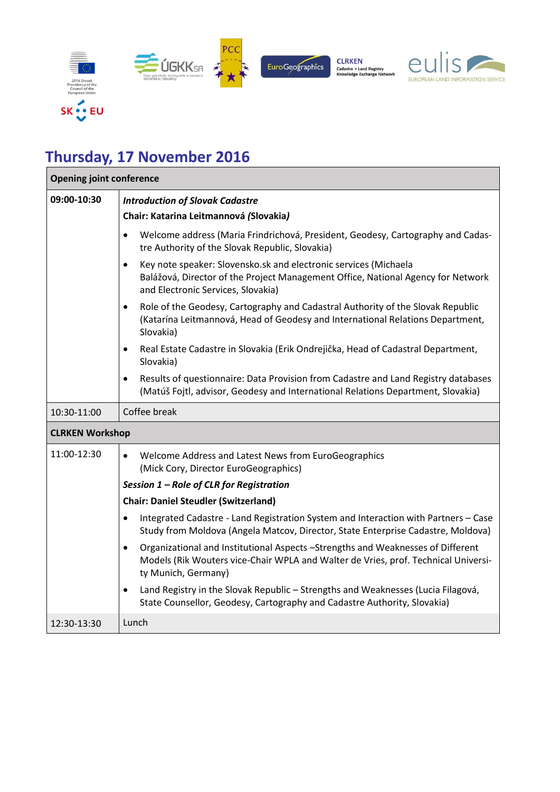

# **Thursday, 17 November 2016**

| <b>Opening joint conference</b> |                                                                                                                                                                                                           |  |  |
|---------------------------------|-----------------------------------------------------------------------------------------------------------------------------------------------------------------------------------------------------------|--|--|
| 09:00-10:30                     | <b>Introduction of Slovak Cadastre</b>                                                                                                                                                                    |  |  |
|                                 | Chair: Katarina Leitmannová (Slovakia)                                                                                                                                                                    |  |  |
|                                 | Welcome address (Maria Frindrichová, President, Geodesy, Cartography and Cadas-<br>$\bullet$<br>tre Authority of the Slovak Republic, Slovakia)                                                           |  |  |
|                                 | Key note speaker: Slovensko.sk and electronic services (Michaela<br>$\bullet$<br>Balážová, Director of the Project Management Office, National Agency for Network<br>and Electronic Services, Slovakia)   |  |  |
|                                 | Role of the Geodesy, Cartography and Cadastral Authority of the Slovak Republic<br>٠<br>(Katarína Leitmannová, Head of Geodesy and International Relations Department,<br>Slovakia)                       |  |  |
|                                 | Real Estate Cadastre in Slovakia (Erik Ondrejička, Head of Cadastral Department,<br>٠<br>Slovakia)                                                                                                        |  |  |
|                                 | Results of questionnaire: Data Provision from Cadastre and Land Registry databases<br>$\bullet$<br>(Matúš Fojtl, advisor, Geodesy and International Relations Department, Slovakia)                       |  |  |
| 10:30-11:00                     | Coffee break                                                                                                                                                                                              |  |  |
| <b>CLRKEN Workshop</b>          |                                                                                                                                                                                                           |  |  |
| 11:00-12:30                     | Welcome Address and Latest News from EuroGeographics<br>$\bullet$<br>(Mick Cory, Director EuroGeographics)                                                                                                |  |  |
|                                 | Session 1 - Role of CLR for Registration                                                                                                                                                                  |  |  |
|                                 | <b>Chair: Daniel Steudler (Switzerland)</b>                                                                                                                                                               |  |  |
|                                 | Integrated Cadastre - Land Registration System and Interaction with Partners - Case<br>$\bullet$<br>Study from Moldova (Angela Matcov, Director, State Enterprise Cadastre, Moldova)                      |  |  |
|                                 | Organizational and Institutional Aspects -Strengths and Weaknesses of Different<br>$\bullet$<br>Models (Rik Wouters vice-Chair WPLA and Walter de Vries, prof. Technical Universi-<br>ty Munich, Germany) |  |  |
|                                 | Land Registry in the Slovak Republic - Strengths and Weaknesses (Lucia Filagová,<br>$\bullet$<br>State Counsellor, Geodesy, Cartography and Cadastre Authority, Slovakia)                                 |  |  |
| 12:30-13:30                     | Lunch                                                                                                                                                                                                     |  |  |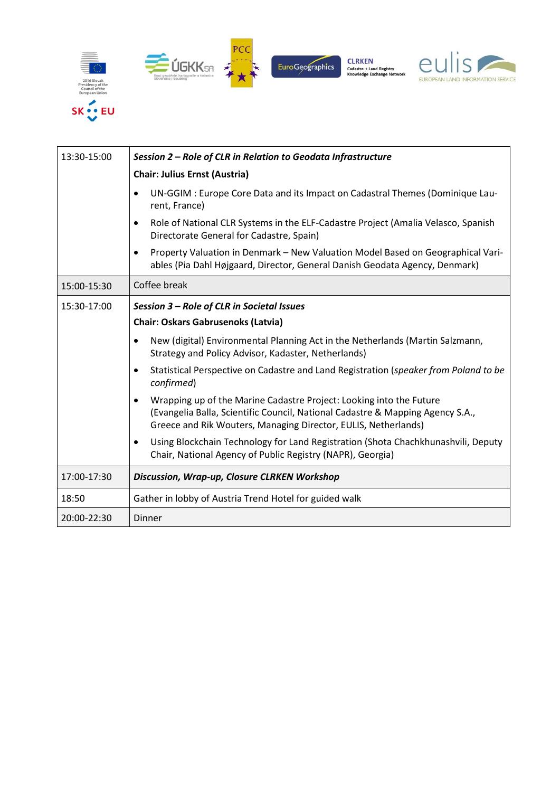

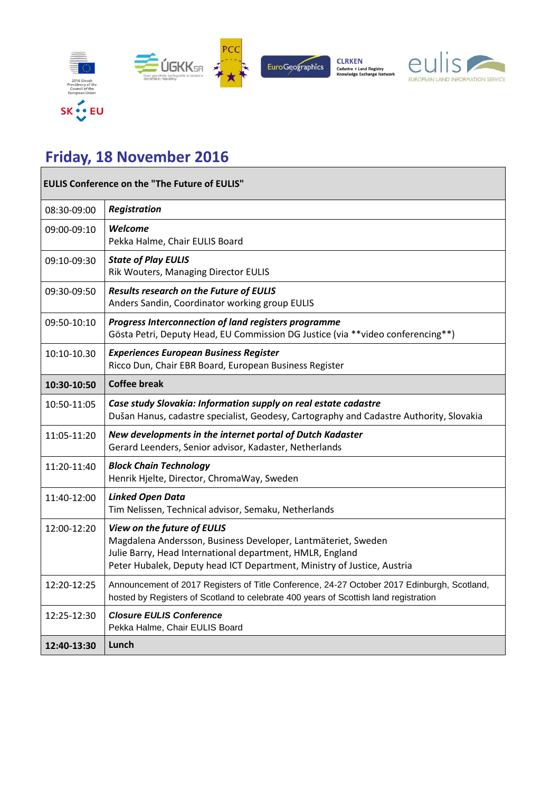

# **Friday, 18 November 2016**

| <b>EULIS Conference on the "The Future of EULIS"</b> |                                                                                                                                                                                                                                      |  |
|------------------------------------------------------|--------------------------------------------------------------------------------------------------------------------------------------------------------------------------------------------------------------------------------------|--|
| 08:30-09:00                                          | <b>Registration</b>                                                                                                                                                                                                                  |  |
| 09:00-09:10                                          | Welcome<br>Pekka Halme, Chair EULIS Board                                                                                                                                                                                            |  |
| 09:10-09:30                                          | <b>State of Play EULIS</b><br>Rik Wouters, Managing Director EULIS                                                                                                                                                                   |  |
| 09:30-09:50                                          | Results research on the Future of EULIS<br>Anders Sandin, Coordinator working group EULIS                                                                                                                                            |  |
| 09:50-10:10                                          | Progress Interconnection of land registers programme<br>Gösta Petri, Deputy Head, EU Commission DG Justice (via **video conferencing**)                                                                                              |  |
| 10:10-10.30                                          | <b>Experiences European Business Register</b><br>Ricco Dun, Chair EBR Board, European Business Register                                                                                                                              |  |
| 10:30-10:50                                          | <b>Coffee break</b>                                                                                                                                                                                                                  |  |
| 10:50-11:05                                          | Case study Slovakia: Information supply on real estate cadastre<br>Dušan Hanus, cadastre specialist, Geodesy, Cartography and Cadastre Authority, Slovakia                                                                           |  |
| 11:05-11:20                                          | New developments in the internet portal of Dutch Kadaster<br>Gerard Leenders, Senior advisor, Kadaster, Netherlands                                                                                                                  |  |
| 11:20-11:40                                          | <b>Block Chain Technology</b><br>Henrik Hjelte, Director, ChromaWay, Sweden                                                                                                                                                          |  |
| 11:40-12:00                                          | <b>Linked Open Data</b><br>Tim Nelissen, Technical advisor, Semaku, Netherlands                                                                                                                                                      |  |
| 12:00-12:20                                          | View on the future of EULIS<br>Magdalena Andersson, Business Developer, Lantmäteriet, Sweden<br>Julie Barry, Head International department, HMLR, England<br>Peter Hubalek, Deputy head ICT Department, Ministry of Justice, Austria |  |
| 12:20-12:25                                          | Announcement of 2017 Registers of Title Conference, 24-27 October 2017 Edinburgh, Scotland,<br>hosted by Registers of Scotland to celebrate 400 years of Scottish land registration                                                  |  |
| 12:25-12:30                                          | <b>Closure EULIS Conference</b><br>Pekka Halme, Chair EULIS Board                                                                                                                                                                    |  |
| 12:40-13:30                                          | Lunch                                                                                                                                                                                                                                |  |